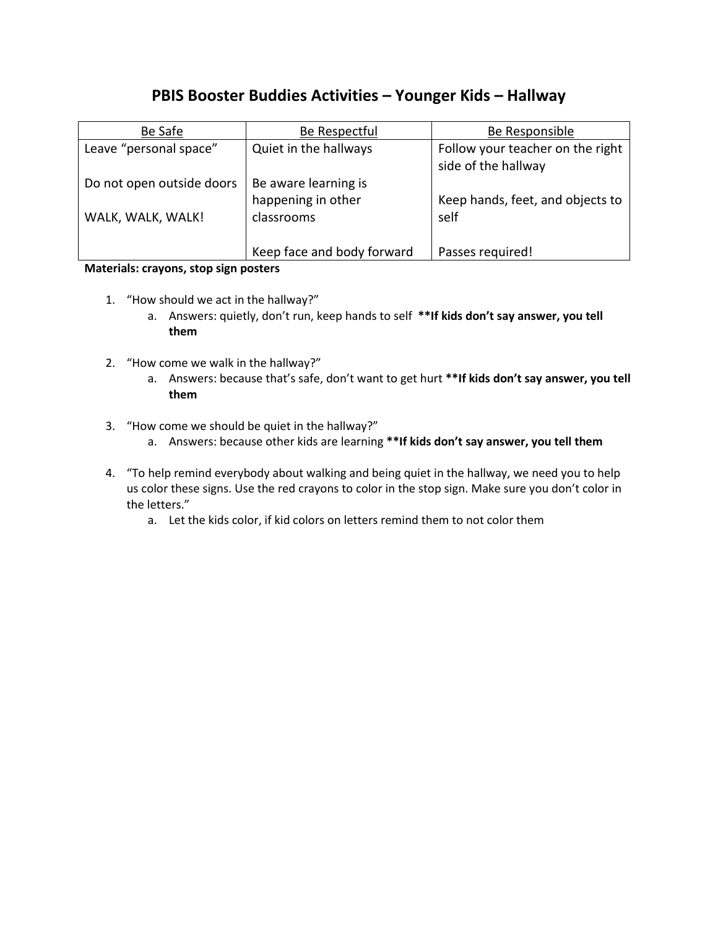## **PBIS Booster Buddies Activities – Younger Kids – Hallway**

| Be Safe                   | Be Respectful                              | Be Responsible                                          |
|---------------------------|--------------------------------------------|---------------------------------------------------------|
| Leave "personal space"    | Quiet in the hallways                      | Follow your teacher on the right<br>side of the hallway |
| Do not open outside doors | Be aware learning is<br>happening in other | Keep hands, feet, and objects to                        |
| WALK, WALK, WALK!         | classrooms                                 | self                                                    |
|                           | Keep face and body forward                 | Passes required!                                        |

### **Materials: crayons, stop sign posters**

- 1. "How should we act in the hallway?"
	- a. Answers: quietly, don't run, keep hands to self **\*\*If kids don't say answer, you tell them**
- 2. "How come we walk in the hallway?"
	- a. Answers: because that's safe, don't want to get hurt **\*\*If kids don't say answer, you tell them**
- 3. "How come we should be quiet in the hallway?"
	- a. Answers: because other kids are learning **\*\*If kids don't say answer, you tell them**
- 4. "To help remind everybody about walking and being quiet in the hallway, we need you to help us color these signs. Use the red crayons to color in the stop sign. Make sure you don't color in the letters."
	- a. Let the kids color, if kid colors on letters remind them to not color them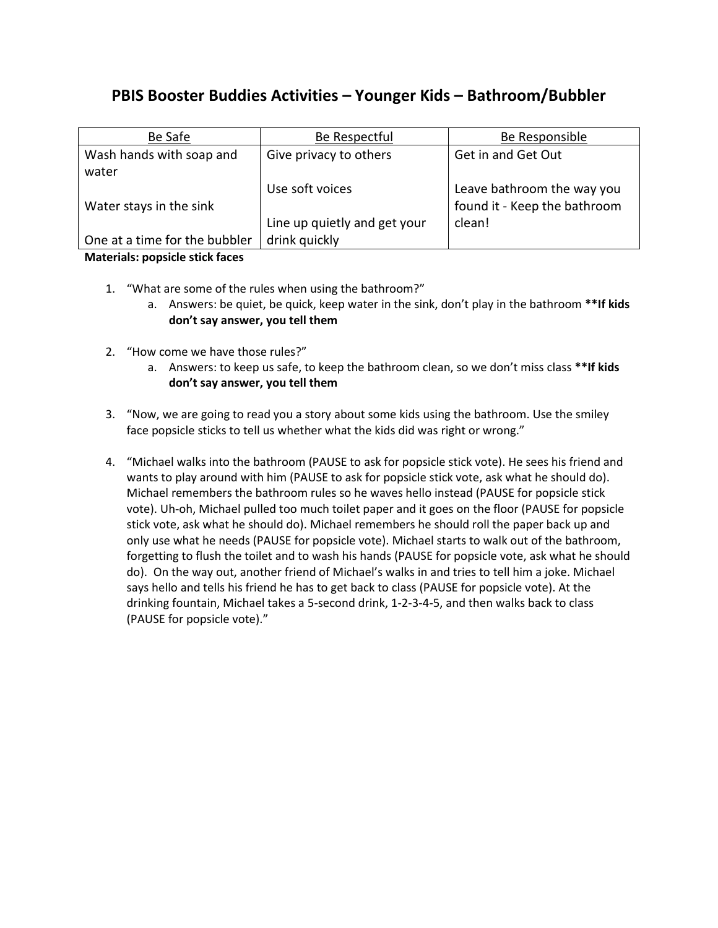## **PBIS Booster Buddies Activities – Younger Kids – Bathroom/Bubbler**

| Be Safe                       | Be Respectful                | Be Responsible               |
|-------------------------------|------------------------------|------------------------------|
| Wash hands with soap and      | Give privacy to others       | Get in and Get Out           |
| water                         |                              |                              |
|                               | Use soft voices              | Leave bathroom the way you   |
| Water stays in the sink       |                              | found it - Keep the bathroom |
|                               | Line up quietly and get your | clean!                       |
| One at a time for the bubbler | drink quickly                |                              |

**Materials: popsicle stick faces**

- 1. "What are some of the rules when using the bathroom?"
	- a. Answers: be quiet, be quick, keep water in the sink, don't play in the bathroom **\*\*If kids don't say answer, you tell them**
- 2. "How come we have those rules?"
	- a. Answers: to keep us safe, to keep the bathroom clean, so we don't miss class **\*\*If kids don't say answer, you tell them**
- 3. "Now, we are going to read you a story about some kids using the bathroom. Use the smiley face popsicle sticks to tell us whether what the kids did was right or wrong."
- 4. "Michael walks into the bathroom (PAUSE to ask for popsicle stick vote). He sees his friend and wants to play around with him (PAUSE to ask for popsicle stick vote, ask what he should do). Michael remembers the bathroom rules so he waves hello instead (PAUSE for popsicle stick vote). Uh-oh, Michael pulled too much toilet paper and it goes on the floor (PAUSE for popsicle stick vote, ask what he should do). Michael remembers he should roll the paper back up and only use what he needs (PAUSE for popsicle vote). Michael starts to walk out of the bathroom, forgetting to flush the toilet and to wash his hands (PAUSE for popsicle vote, ask what he should do). On the way out, another friend of Michael's walks in and tries to tell him a joke. Michael says hello and tells his friend he has to get back to class (PAUSE for popsicle vote). At the drinking fountain, Michael takes a 5-second drink, 1-2-3-4-5, and then walks back to class (PAUSE for popsicle vote)."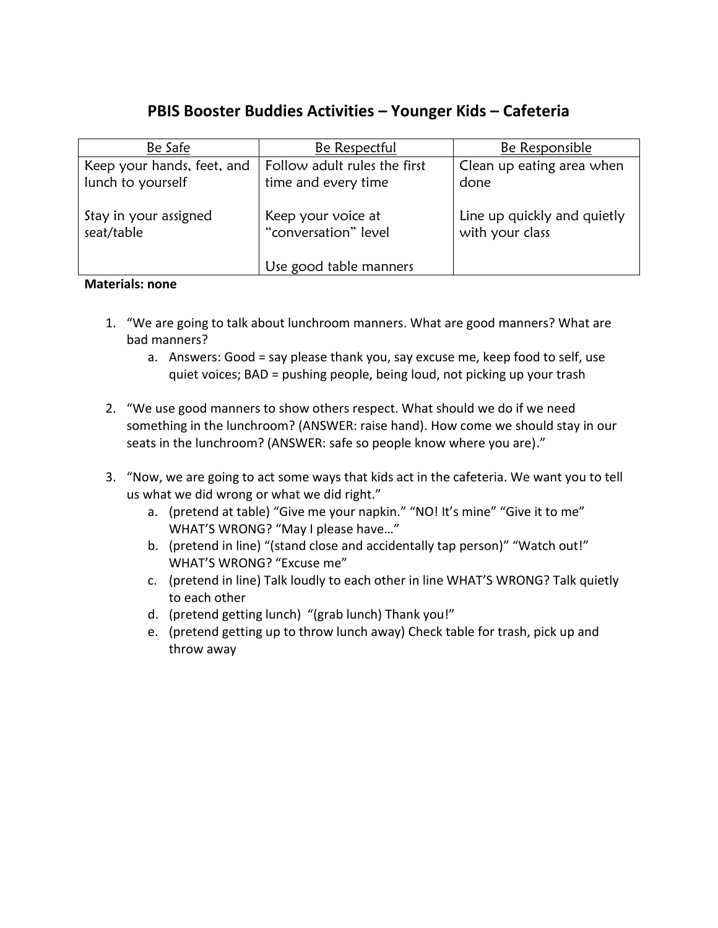# **PBIS Booster Buddies Activities – Younger Kids – Cafeteria**

| Be Safe                             | Be Respectful                              | Be Responsible                                 |
|-------------------------------------|--------------------------------------------|------------------------------------------------|
| Keep your hands, feet, and          | Follow adult rules the first               | Clean up eating area when                      |
| lunch to yourself                   | time and every time                        | done                                           |
| Stay in your assigned<br>seat/table | Keep your voice at<br>"conversation" level | Line up quickly and quietly<br>with your class |
|                                     | Use good table manners                     |                                                |

### **Materials: none**

- 1. "We are going to talk about lunchroom manners. What are good manners? What are bad manners?
	- a. Answers: Good = say please thank you, say excuse me, keep food to self, use quiet voices; BAD = pushing people, being loud, not picking up your trash
- 2. "We use good manners to show others respect. What should we do if we need something in the lunchroom? (ANSWER: raise hand). How come we should stay in our seats in the lunchroom? (ANSWER: safe so people know where you are)."
- 3. "Now, we are going to act some ways that kids act in the cafeteria. We want you to tell us what we did wrong or what we did right."
	- a. (pretend at table) "Give me your napkin." "NO! It's mine" "Give it to me" WHAT'S WRONG? "May I please have…"
	- b. (pretend in line) "(stand close and accidentally tap person)" "Watch out!" WHAT'S WRONG? "Excuse me"
	- c. (pretend in line) Talk loudly to each other in line WHAT'S WRONG? Talk quietly to each other
	- d. (pretend getting lunch) "(grab lunch) Thank you!"
	- e. (pretend getting up to throw lunch away) Check table for trash, pick up and throw away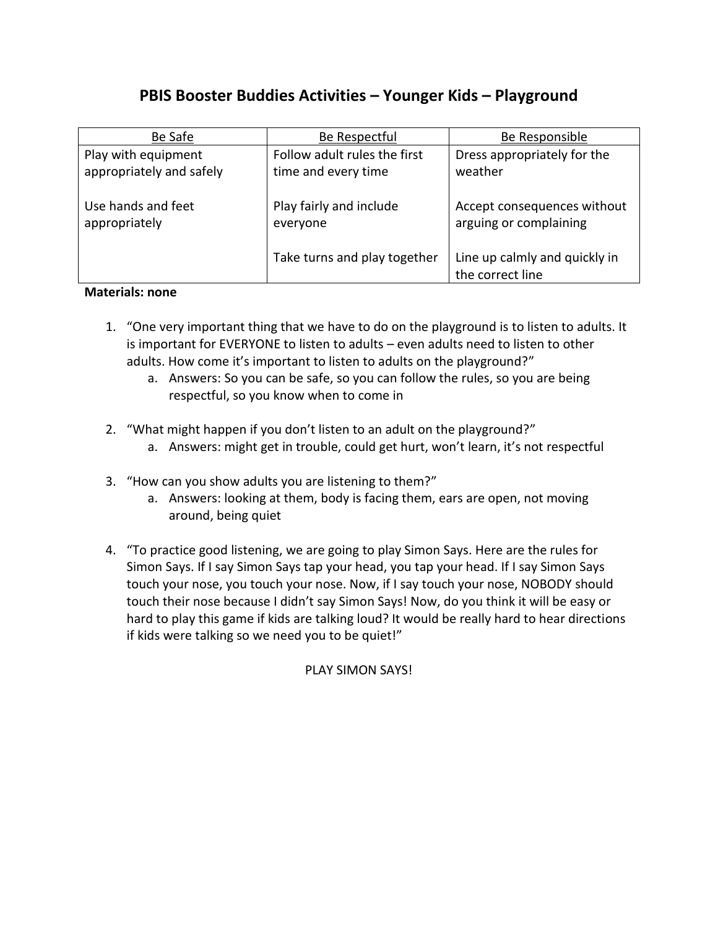## **PBIS Booster Buddies Activities – Younger Kids – Playground**

| Be Safe                  | Be Respectful                | Be Responsible                                    |
|--------------------------|------------------------------|---------------------------------------------------|
| Play with equipment      | Follow adult rules the first | Dress appropriately for the                       |
| appropriately and safely | time and every time          | weather                                           |
| Use hands and feet       | Play fairly and include      | Accept consequences without                       |
| appropriately            | everyone                     | arguing or complaining                            |
|                          | Take turns and play together | Line up calmly and quickly in<br>the correct line |

### **Materials: none**

- 1. "One very important thing that we have to do on the playground is to listen to adults. It is important for EVERYONE to listen to adults – even adults need to listen to other adults. How come it's important to listen to adults on the playground?"
	- a. Answers: So you can be safe, so you can follow the rules, so you are being respectful, so you know when to come in
- 2. "What might happen if you don't listen to an adult on the playground?"
	- a. Answers: might get in trouble, could get hurt, won't learn, it's not respectful
- 3. "How can you show adults you are listening to them?"
	- a. Answers: looking at them, body is facing them, ears are open, not moving around, being quiet
- 4. "To practice good listening, we are going to play Simon Says. Here are the rules for Simon Says. If I say Simon Says tap your head, you tap your head. If I say Simon Says touch your nose, you touch your nose. Now, if I say touch your nose, NOBODY should touch their nose because I didn't say Simon Says! Now, do you think it will be easy or hard to play this game if kids are talking loud? It would be really hard to hear directions if kids were talking so we need you to be quiet!"

PLAY SIMON SAYS!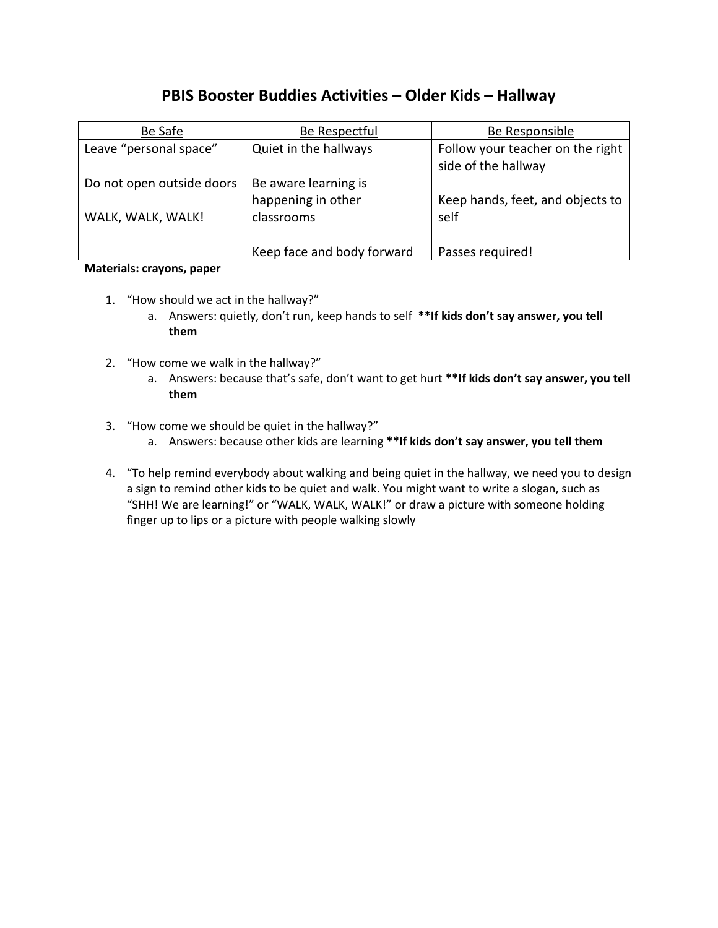## **PBIS Booster Buddies Activities – Older Kids – Hallway**

| Be Safe                   | Be Respectful                              | Be Responsible                                          |
|---------------------------|--------------------------------------------|---------------------------------------------------------|
| Leave "personal space"    | Quiet in the hallways                      | Follow your teacher on the right<br>side of the hallway |
| Do not open outside doors | Be aware learning is<br>happening in other | Keep hands, feet, and objects to                        |
| WALK, WALK, WALK!         | classrooms                                 | self                                                    |
|                           | Keep face and body forward                 | Passes required!                                        |

#### **Materials: crayons, paper**

- 1. "How should we act in the hallway?"
	- a. Answers: quietly, don't run, keep hands to self **\*\*If kids don't say answer, you tell them**
- 2. "How come we walk in the hallway?"
	- a. Answers: because that's safe, don't want to get hurt **\*\*If kids don't say answer, you tell them**
- 3. "How come we should be quiet in the hallway?"
	- a. Answers: because other kids are learning **\*\*If kids don't say answer, you tell them**
- 4. "To help remind everybody about walking and being quiet in the hallway, we need you to design a sign to remind other kids to be quiet and walk. You might want to write a slogan, such as "SHH! We are learning!" or "WALK, WALK, WALK!" or draw a picture with someone holding finger up to lips or a picture with people walking slowly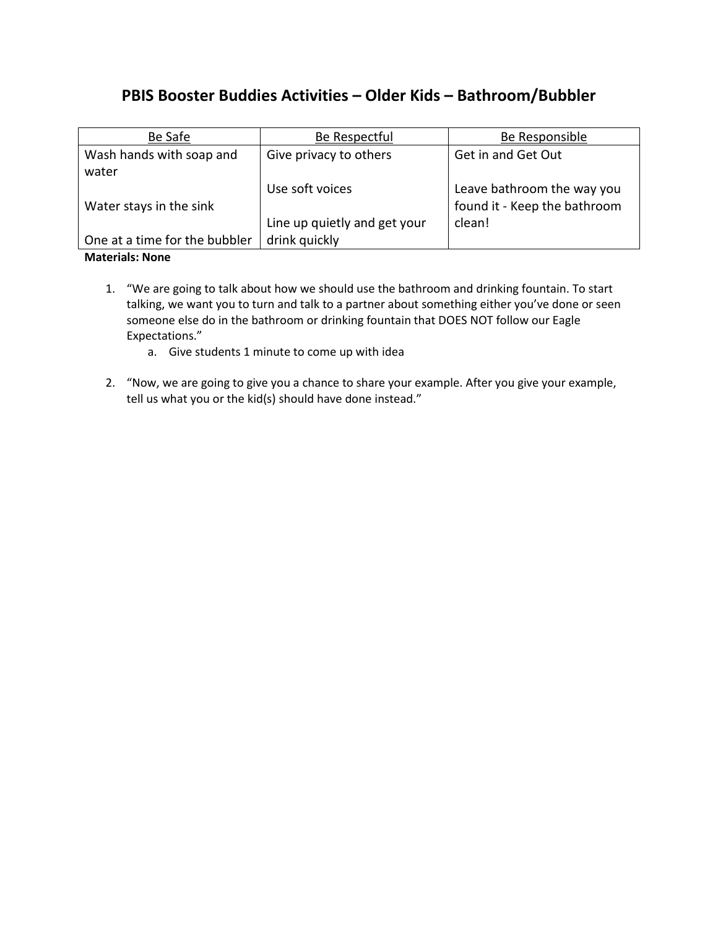## **PBIS Booster Buddies Activities – Older Kids – Bathroom/Bubbler**

| Be Safe                       | Be Respectful                | Be Responsible               |
|-------------------------------|------------------------------|------------------------------|
| Wash hands with soap and      | Give privacy to others       | Get in and Get Out           |
| water                         |                              |                              |
|                               | Use soft voices              | Leave bathroom the way you   |
| Water stays in the sink       |                              | found it - Keep the bathroom |
|                               | Line up quietly and get your | clean!                       |
| One at a time for the bubbler | drink quickly                |                              |
| <b>Materials: None</b>        |                              |                              |

- 1. "We are going to talk about how we should use the bathroom and drinking fountain. To start talking, we want you to turn and talk to a partner about something either you've done or seen someone else do in the bathroom or drinking fountain that DOES NOT follow our Eagle Expectations."
	- a. Give students 1 minute to come up with idea
- 2. "Now, we are going to give you a chance to share your example. After you give your example, tell us what you or the kid(s) should have done instead."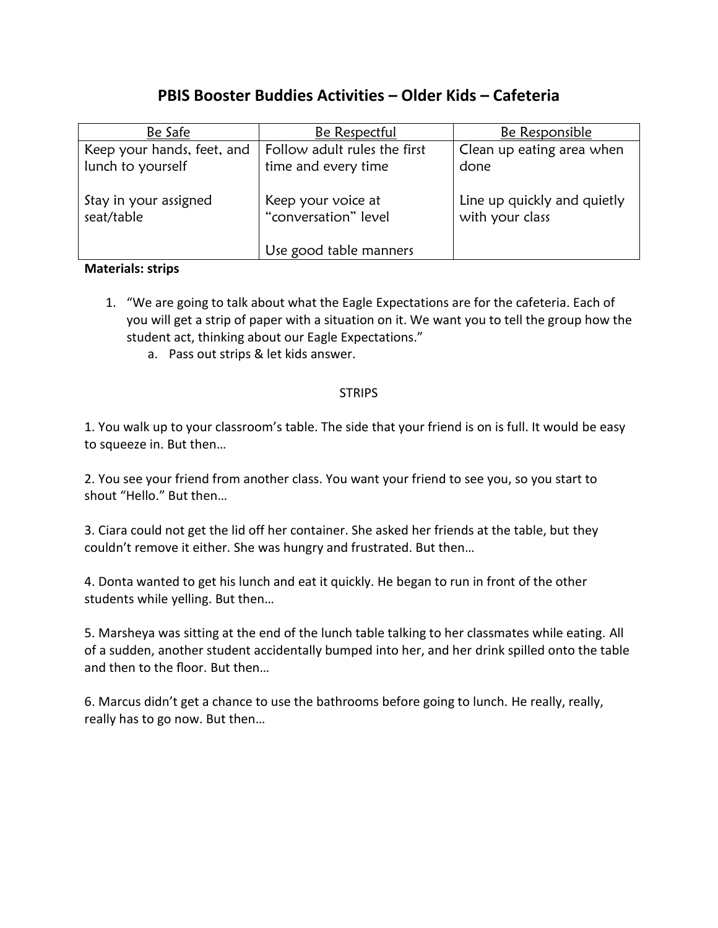## **PBIS Booster Buddies Activities – Older Kids – Cafeteria**

| Be Safe                             | Be Respectful                              | Be Responsible                                 |
|-------------------------------------|--------------------------------------------|------------------------------------------------|
| Keep your hands, feet, and          | Follow adult rules the first               | Clean up eating area when                      |
| lunch to yourself                   | time and every time                        | done                                           |
| Stay in your assigned<br>seat/table | Keep your voice at<br>"conversation" level | Line up quickly and quietly<br>with your class |
|                                     | Use good table manners                     |                                                |

### **Materials: strips**

- 1. "We are going to talk about what the Eagle Expectations are for the cafeteria. Each of you will get a strip of paper with a situation on it. We want you to tell the group how the student act, thinking about our Eagle Expectations."
	- a. Pass out strips & let kids answer.

### **STRIPS**

1. You walk up to your classroom's table. The side that your friend is on is full. It would be easy to squeeze in. But then…

2. You see your friend from another class. You want your friend to see you, so you start to shout "Hello." But then…

3. Ciara could not get the lid off her container. She asked her friends at the table, but they couldn't remove it either. She was hungry and frustrated. But then…

4. Donta wanted to get his lunch and eat it quickly. He began to run in front of the other students while yelling. But then…

5. Marsheya was sitting at the end of the lunch table talking to her classmates while eating. All of a sudden, another student accidentally bumped into her, and her drink spilled onto the table and then to the floor. But then…

6. Marcus didn't get a chance to use the bathrooms before going to lunch. He really, really, really has to go now. But then…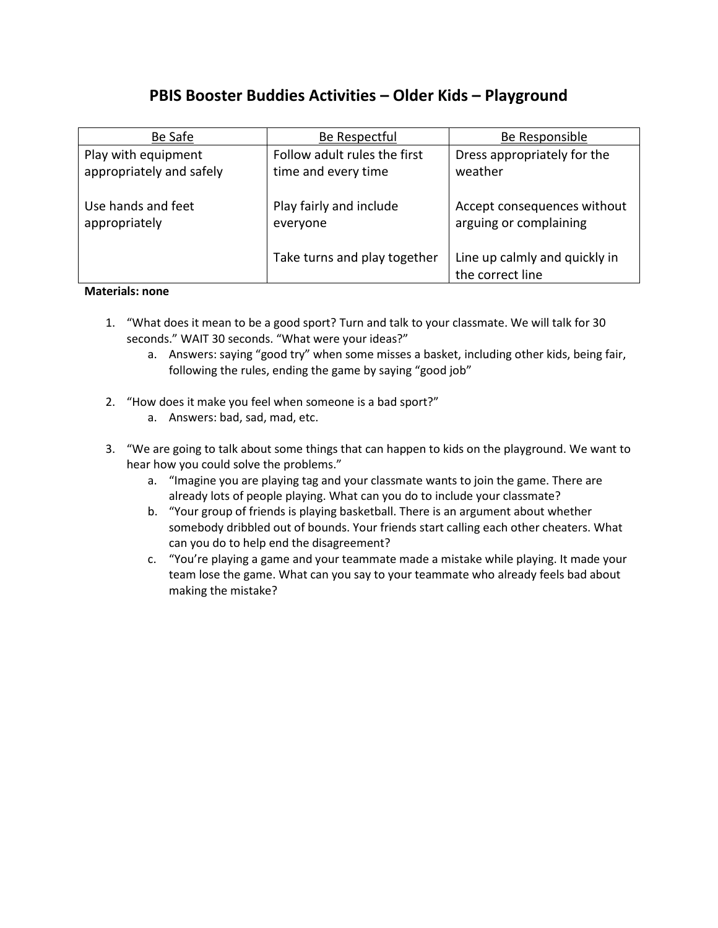## **PBIS Booster Buddies Activities – Older Kids – Playground**

| Be Safe                  | Be Respectful                | Be Responsible                                    |
|--------------------------|------------------------------|---------------------------------------------------|
| Play with equipment      | Follow adult rules the first | Dress appropriately for the                       |
| appropriately and safely | time and every time          | weather                                           |
| Use hands and feet       | Play fairly and include      | Accept consequences without                       |
| appropriately            | everyone                     | arguing or complaining                            |
|                          | Take turns and play together | Line up calmly and quickly in<br>the correct line |

### **Materials: none**

- 1. "What does it mean to be a good sport? Turn and talk to your classmate. We will talk for 30 seconds." WAIT 30 seconds. "What were your ideas?"
	- a. Answers: saying "good try" when some misses a basket, including other kids, being fair, following the rules, ending the game by saying "good job"
- 2. "How does it make you feel when someone is a bad sport?"
	- a. Answers: bad, sad, mad, etc.
- 3. "We are going to talk about some things that can happen to kids on the playground. We want to hear how you could solve the problems."
	- a. "Imagine you are playing tag and your classmate wants to join the game. There are already lots of people playing. What can you do to include your classmate?
	- b. "Your group of friends is playing basketball. There is an argument about whether somebody dribbled out of bounds. Your friends start calling each other cheaters. What can you do to help end the disagreement?
	- c. "You're playing a game and your teammate made a mistake while playing. It made your team lose the game. What can you say to your teammate who already feels bad about making the mistake?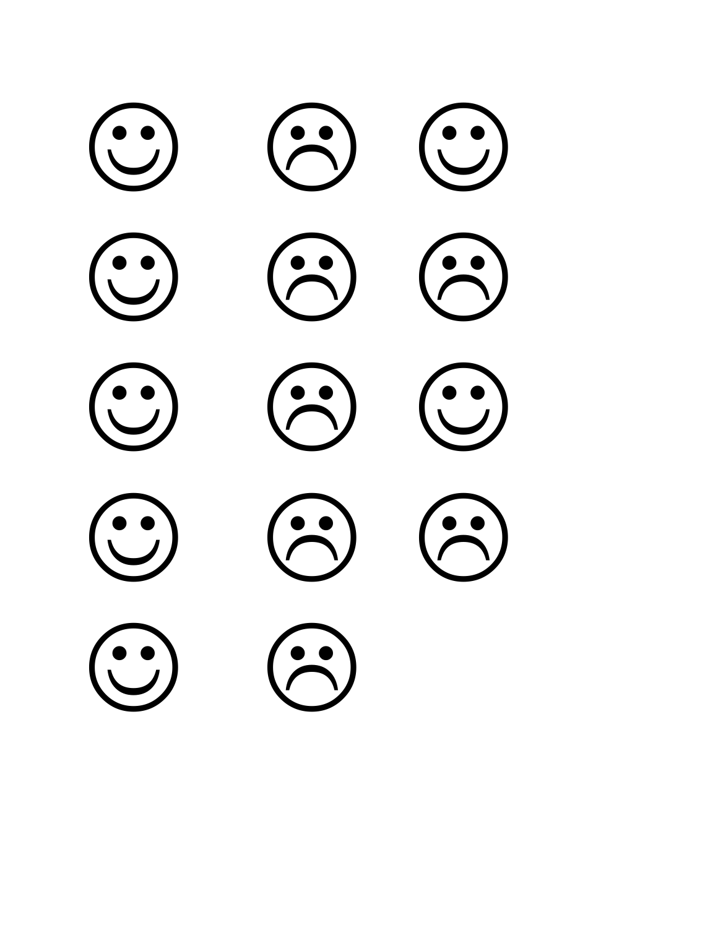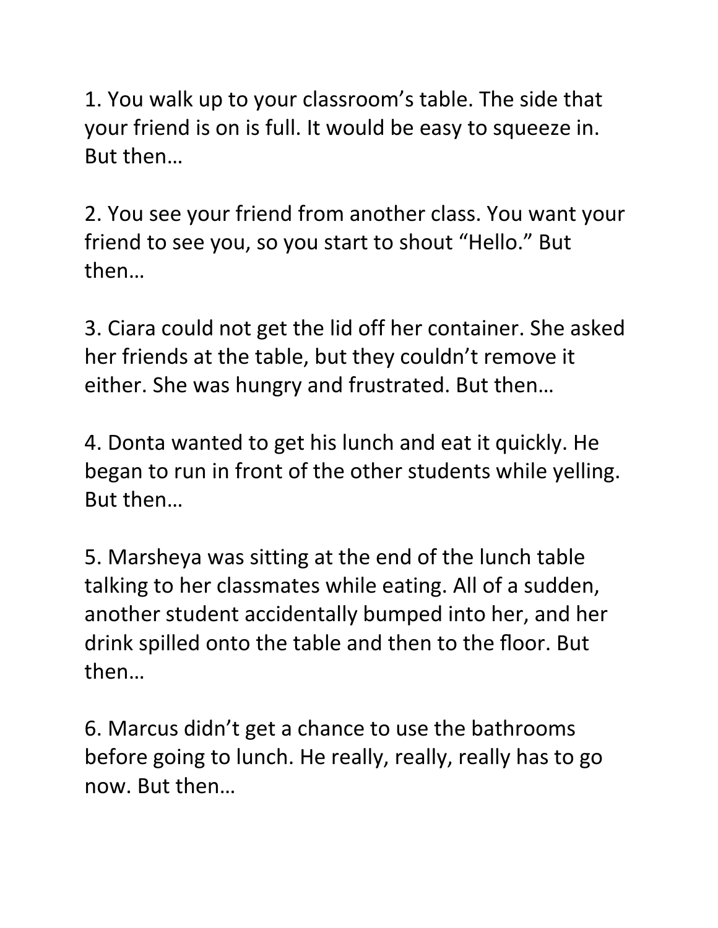1. You walk up to your classroom's table. The side that your friend is on is full. It would be easy to squeeze in. But then…

2. You see your friend from another class. You want your friend to see you, so you start to shout "Hello." But then…

3. Ciara could not get the lid off her container. She asked her friends at the table, but they couldn't remove it either. She was hungry and frustrated. But then…

4. Donta wanted to get his lunch and eat it quickly. He began to run in front of the other students while yelling. But then…

5. Marsheya was sitting at the end of the lunch table talking to her classmates while eating. All of a sudden, another student accidentally bumped into her, and her drink spilled onto the table and then to the floor. But then…

6. Marcus didn't get a chance to use the bathrooms before going to lunch. He really, really, really has to go now. But then…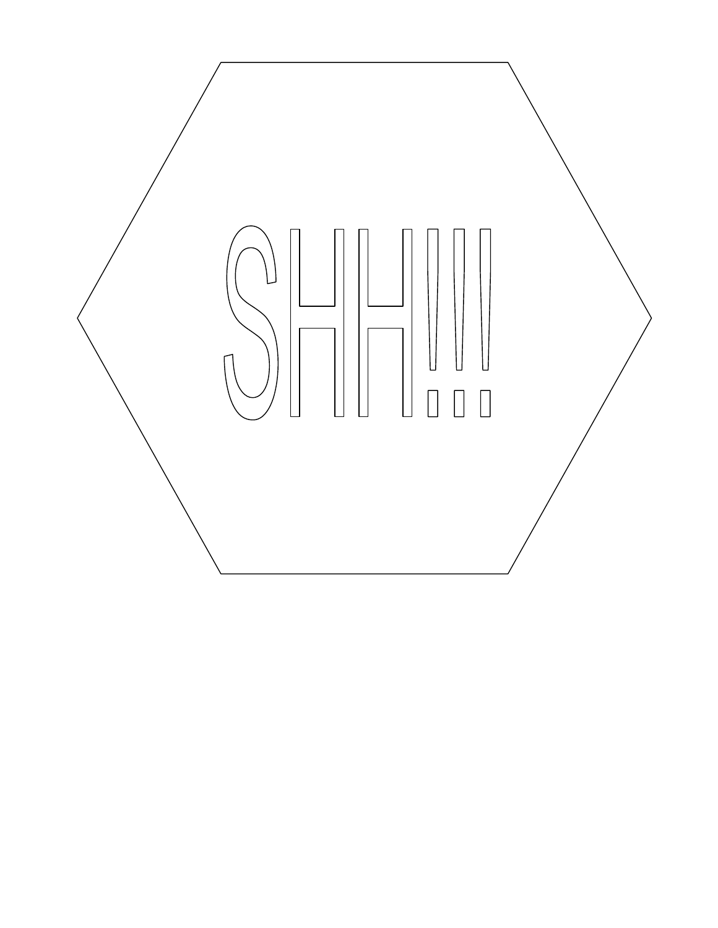